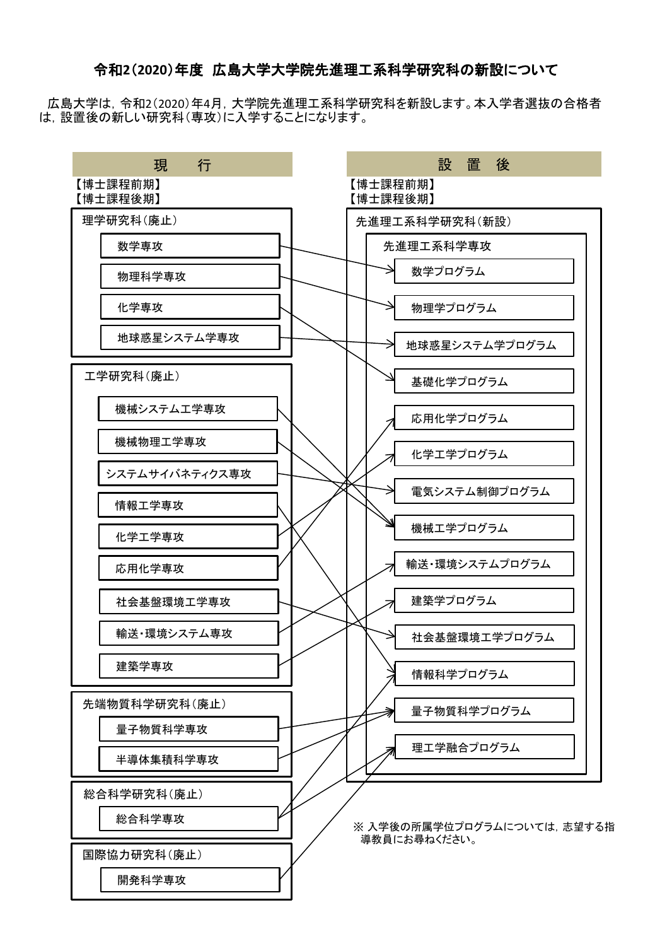## 令和**2**(**2020**)年度 広島大学大学院先進理工系科学研究科の新設について

広島大学は,令和2(2020)年4月,大学院先進理工系科学研究科を新設します。本入学者選抜の合格者 は,設置後の新しい研究科(専攻)に入学することになります。